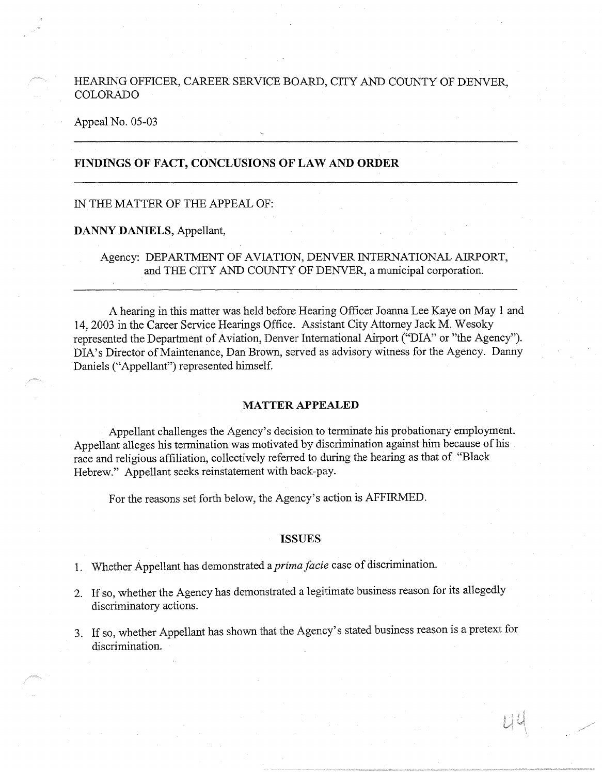# HEARING OFFICER, CAREER SERVICE BOARD, CITY AND COUNTY OF DENVER, COLORADO

#### Appeal No. 05-03

# **FINDINGS OF FACT, CONCLUSIONS OF LAW AND ORDER**

#### IN THE MATTER OF THE APPEAL OF:

#### **DANNY DANIELS,** Appellant,

Agency: DEPARTMENT OF AVIATION, DENVER INTERNATIONAL AIRPORT, and THE CITY AND COUNTY OF DENVER, a municipal corporation.

A hearing in this matter was held before Hearing Officer Joanna Lee Kaye on May 1 and 14, 2003 in the Career Service Hearings Office. Assistant City Attorney Jack M. Wesoky represented the Department of Aviation, Denver International Airport ("DIA" or "the Agency"). DIA's Director of Maintenance, Dan Brown, served as advisory witness for the Agency. Danny Daniels ("Appellant") represented himself.

#### **MATTER APPEALED**

Appellant challenges the Agency's decision to terminate his probationary employment. Appellant alleges his termination was motivated by discrimination against him because of his race and religious affiliation, collectively referred to during the hearing as that of "Black Hebrew." Appellant seeks reinstatement with back-pay.

For the reasons set forth below, the Agency's action is AFFIRMED.

#### **ISSUES**

1. Whether Appellant has demonstrated a *prima facie* case of discrimination.

- 2. If so, whether the Agency has demonstrated a legitimate business reason for its allegedly discriminatory actions.
- 3. If so, whether Appellant has shown that the Agency's stated business reason is a pretext for discrimination.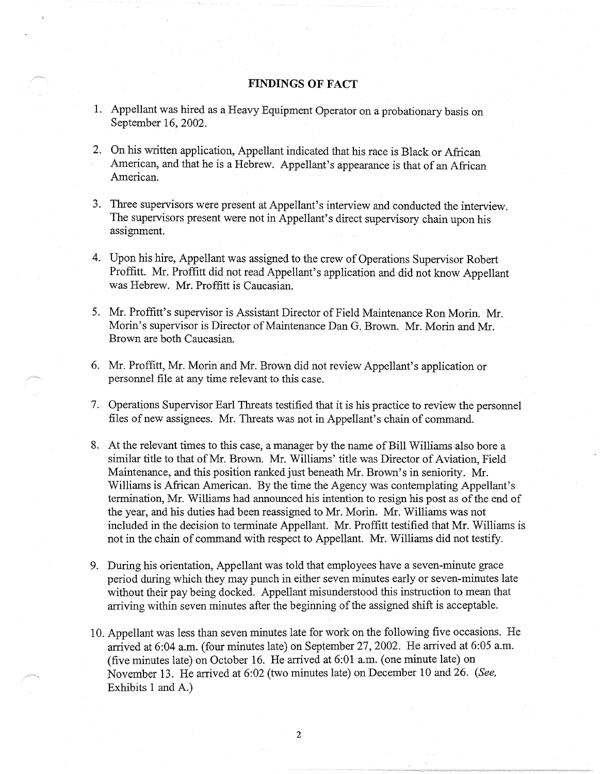### **FINDINGS OF FACT**

- 1. Appellant was hired as a Heavy Equipment Operator on a probationary basis on September 16, 2002.
- 2. On his written application, Appellant indicated that his race is Black or African American, and that he is a Hebrew. Appellant's appearance is that of an African American.
- 3. Three supervisors were present at Appellant's interview and conducted the interview. The supervisors present were not in Appellant's direct supervisory chain upon his assignment.
- 4. Upon his hire, Appellant was assigned to the crew of Operations Supervisor Robert Proffitt. Mr. Proffitt did not read Appellant's application and did not know Appellant was Hebrew. Mr. Proffitt is Caucasian.
- 5. Mr. Proffitt's supervisor is Assistant Director of Field Maintenance Ron Morin. Mr. Morin's supervisor is Director of Maintenance Dan G. Brown. Mr. Morin and Mr. Brown are both Caucasian.
- 6. Mr. Proffitt, Mr. Morin and Mr. Brown did not review Appellant's application or personnel file at any time relevant to this case.
- 7. Operations Supervisor Earl Threats testified that it is his practice to review the personnel files of new assignees. Mr. Threats was not in Appellant's chain of command.
- 8. At the relevant times to this case, a manager by the name of Bill Williams also bore a similar title to that of Mr. Brown. Mr. Williams' title was Director of Aviation, Field Maintenance, and this position ranked just beneath Mr. Brown's in seniority. Mr. Williams is African American. By the time the Agency was contemplating Appellant's termination, Mr. Williams had announced his intention to resign his post as of the end of the year, and his duties had been reassigned to Mr. Morin. Mr. Williams was not included in the decision to terminate Appellant. Mr. Proffitt testified that Mr. Williams is not in the chain of command with respect to Appellant. Mr. Williams did not testify.
- 9. During his orientation, Appellant was told that employees have a seven-minute grace period during which they may punch in either seven minutes early or seven-minutes late without their pay being docked. Appellant misunderstood this instruction to mean that arriving within seven minutes after the beginning of the assigned shift is acceptable.
- 1 O. Appellant was less than seven minutes late for work on the following five occasions. He arrived at 6:04 a.m. (four minutes late) on September 27, 2002. He arrived at 6:05 a.m. (five minutes late) on October 16. He arrived at 6:01 a.m. (one minute late) on November 13. He arrived at 6:02 (two minutes late) on December 10 and 26. *(See,*  Exhibits 1 and A.)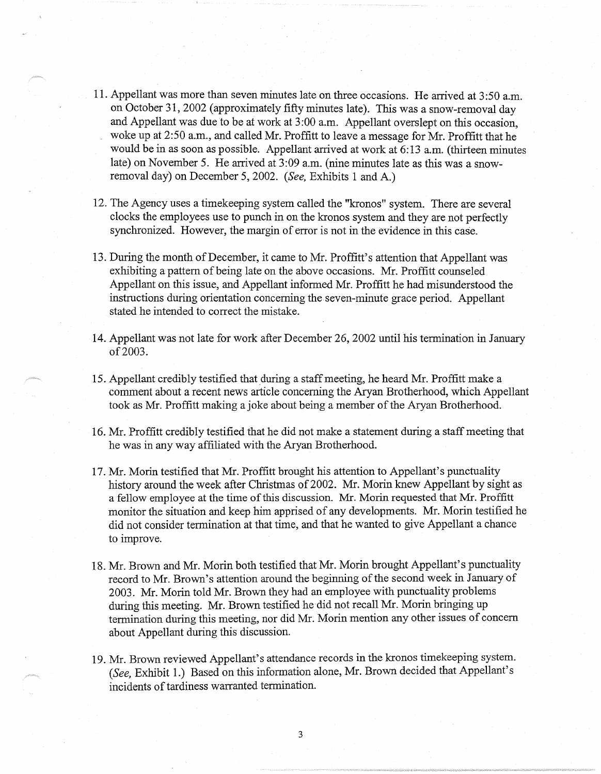- 11. Appellant was more than seven minutes late on three occasions. He arrived at 3 :50 a.m. on October 31, 2002 ( approximately fifty minutes late). This was a snow-removal day and Appellant was due to be at work at 3 :00 a.m. Appellant overslept on this occasion, woke up at 2:50 a.m., and called Mr. Proffitt to leave a message for Mr. Proffitt that he would be in as soon as possible. Appellant arrived at work at 6:13 a.m. (thirteen minutes late) on November 5. He arrived at 3:09 a.m. (nine minutes late as this was a snowremoval day) on December 5, 2002. *(See,* Exhibits 1 and A.)
- 12. The Agency uses a timekeeping system called the "kronos" system. There are several clocks the employees use to punch in on the kronos system and they are not perfectly synchronized. However, the margin of error is not in the evidence in this case.
- 13. During the month of December, it came to Mr. Proffitt's attention that Appellant was exhibiting a pattern of being late on the above occasions. Mr. Proffitt counseled Appellant on this issue, and Appellant informed Mr. Proffitt he had misunderstood the instructions during orientation concerning the seven-minute grace period. Appellant stated he intended to correct the mistake.
- 14. Appellant was not late for work after December 26, 2002 until his termination in January of 2003.
- 15. Appellant credibly testified that during a staff meeting, he heard Mr. Proffitt make a comment about a recent news article concerning the Aryan Brotherhood, which Appellant took as Mr. Proffitt making a joke about being a member of the Aryan Brotherhood.
- 16. Mr. Proffitt credibly testified that he did not make a statement during a staff meeting that he was in any way affiliated with the Aryan Brotherhood.
- 17. Mr. Morin testified that Mr. Proffitt brought his attention to Appellant's punctuality history around the week after Christmas of 2002. Mr. Morin knew Appellant by sight as a fellow employee at the time of this discussion. Mr. Morin requested that Mr. Proffitt monitor the situation and keep him apprised of any developments. Mr. Morin testified he did not consider termination at that time, and that he wanted to give Appellant a chance to improve.
- 18. Mr. Brown and Mr. Morin both testified that Mr. Morin brought Appellant's punctuality record to Mr. Brown's attention around the beginning of the second week in January of 2003. Mr. Morin told Mr. Brown they had an employee with punctuality problems during this meeting. Mr. Brown testified he did not recall Mr. Morin bringing up termination during this meeting, nor did Mr. Morin mention any other issues of concern about Appellant during this discussion.
- 19. Mr. Brown reviewed Appellant's attendance records in the kronos timekeeping system. *(See,* Exhibit 1.) Based on this information alone, Mr. Brown decided that Appellant's incidents of tardiness warranted termination.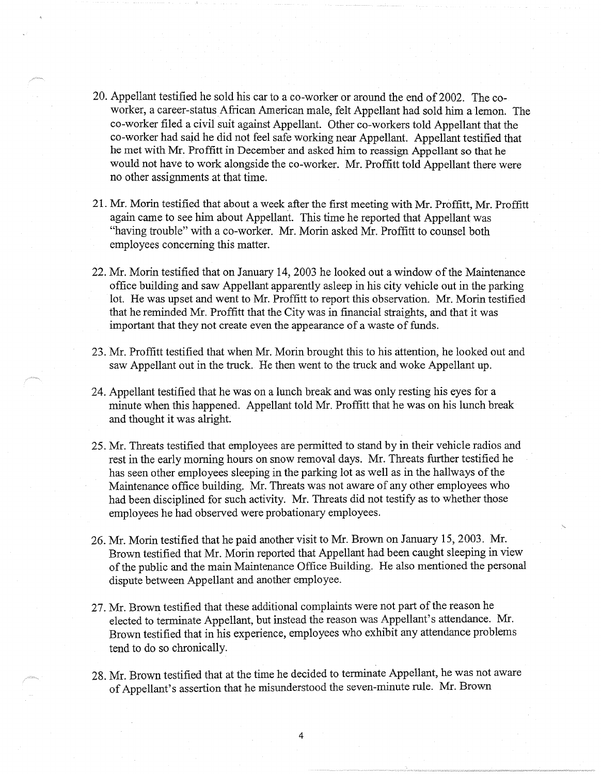- 20. Appellant testified he sold his car to a co-worker or around the end of 2002. The coworker, a career-status African American male, felt Appellant had sold him a lemon. The co-worker filed a civil suit against Appellant. Other co-workers told Appellant that the co-worker had said he did not feel safe working near Appellant. Appellant testified that he met with Mr. Proffitt in December and asked him to reassign Appellant so that he would not have to work alongside the co-worker. Mr. Proffitt told Appellant there were no other assignments at that time.
- 21. Mr. Morin testified that about a week after the first meeting with Mr. Proffitt, Mr. Proffitt again came to see him about Appellant. This time he reported that Appellant was "having trouble" with a co-worker. Mr. Morin asked Mr. Proffitt to counsel both employees concerning this matter.
- 22. Mr. Morin testified that on January 14, 2003 he looked out a window of the Maintenance office building and saw Appellant apparently asleep in his city vehicle out in the parking lot. He was upset and went to Mr. Proffitt to report this observation. Mr. Morin testified that he reminded Mr. Proffitt that the City was in financial straights, and that it was important that they not create even the appearance of a waste of funds.
- 23. Mr. Proffitt testified that when Mr. Morin brought this to his attention, he looked out and saw Appellant out in the truck. He then went to the truck and woke Appellant up.
- 24. Appellant testified that he was on a lunch break and was only resting his eyes for a minute when this happened. Appellant told Mr. Proffitt that he was on his lunch break and thought it was alright.
- 25. Mr. Threats testified that employees are permitted to stand by in their vehicle radios and rest in the early morning hours on snow removal days. Mr. Threats further testified he has seen other employees sleeping in the parking lot as well as in the hallways of the Maintenance office building. Mr. Threats was not aware of any other employees who had been disciplined for such activity. Mr. Threats did not testify as to whether those employees he had observed were probationary employees.
- 26. Mr. Morin testified that he paid another visit to Mr. Brown on January 15, 2003. Mr. Brown testified that Mr. Morin reported that Appellant had been caught sleeping in view of the public and the main Maintenance Office Building. He also mentioned the personal dispute between Appellant and another employee.
- 27. Mr. Brown testified that these additional complaints were not part of the reason he elected to terminate Appellant, but instead the reason was Appellant's attendance. Mr. Brown testified that in his experience, employees who exhibit any attendance problems tend to do so chronically.
- 28. Mr. Brown testified that at the time he decided to terminate Appellant, he was not aware of Appellant's assertion that he misunderstood the seven-minute rule. Mr. Brown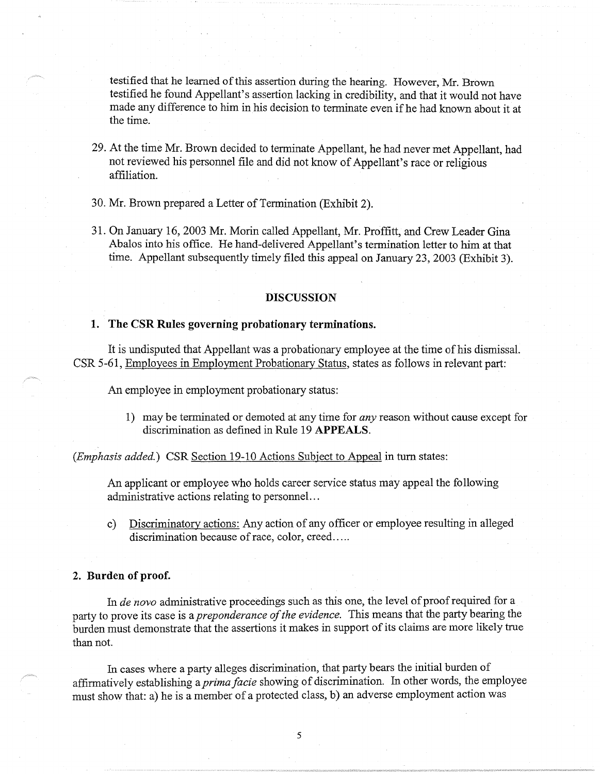testified that he learned of this assertion during the hearing. However, Mr. Brown testified he found Appellant's assertion lacking in credibility, and that it would not have made any difference to him in his decision to terminate even if he had known about it at the time.

- 29. At the time Mr. Brown decided to terminate Appellant, he had never met Appellant, had not reviewed his personnel file and did not know of Appellant's race or religious affiliation.
- 30. Mr. Brown prepared a Letter of Termination (Exhibit 2).
- 31. On January 16, 2003 Mr. Morin called Appellant, Mr. Proffitt, and Crew Leader Gina Abalos into his office. He hand-delivered Appellant's termination letter to him at that time. Appellant subsequently timely filed this appeal on January 23, 2003 (Exhibit 3).

#### **DISCUSSION**

#### **1. The CSR Rules governing probationary terminations.**

It is undisputed that Appellant was a probationary employee at the time of his dismissal. CSR 5-61, Employees in Employment Probationary Status, states as follows in relevant part:

An employee in employment probationary status:

1) may be terminated or demoted at any time for *any* reason without cause except for discrimination as defined in Rule 19 **APPEALS.** 

*(Emphasis added.)* CSR Section 19-10 Actions Subject to Appeal in turn states:

An applicant or employee who holds career service status may appeal the following administrative actions relating to personnel. ..

c) Discriminatory actions: Any action of any officer or employee resulting in alleged discrimination because of race, color, creed.....

#### **2. Burden of proof.**

In *de nova* administrative proceedings such as this one, the level of proof required for a party to prove its case is a *preponderance of the evidence.* This means that the party bearing the burden must demonstrate that the assertions it makes in support of its claims are more likely true than not.

In cases where a party alleges discrimination, that party bears the initial burden of affirmatively establishing a *prima facie* showing of discrimination. In other words, the employee must show that: a) he is a member of a protected class, b) an adverse employment action was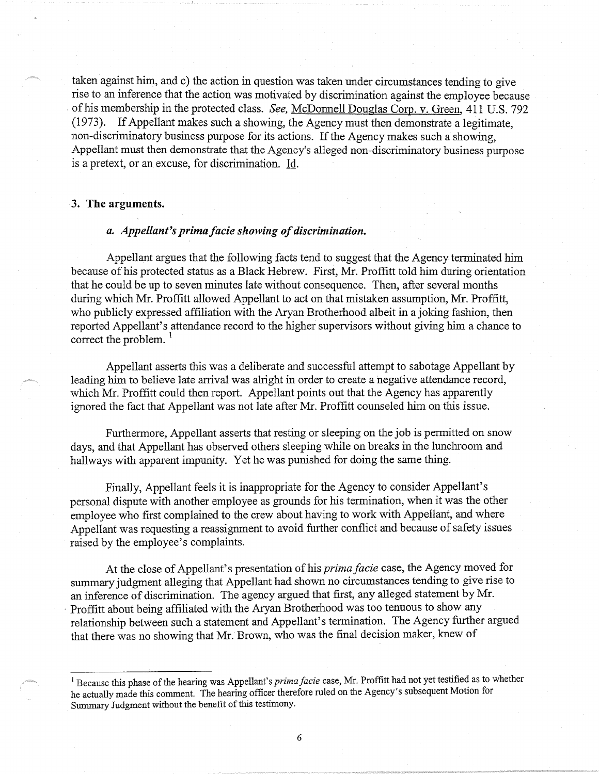taken against him, and c) the action in question was taken under circumstances tending to give rise to an inference that the action was motivated by discrimination against the employee because . of his membership in the protected class. *See,* McDonnell Douglas Corp. v. Green, 411 U.S. 792 (1973). If Appellant makes such a showing, the Agency must then demonstrate a legitimate, non-discriminatory business purpose for its actions. If the Agency makes such a showing, Appellant must then demonstrate that the Agency's alleged non-discriminatory business purpose is a pretext, or an excuse, for discrimination. Id.

#### **3. The arguments.**

#### *a. Appellant's prima fade showing of discrimination.*

Appellant argues that the following facts tend to suggest that the Agency terminated him because of his protected status as a Black Hebrew. First, Mr. Proffitt told him during orientation that he could be up to seven minutes late without consequence. Then, after several months during which Mr. Proffitt allowed Appellant to act on that mistaken assumption, Mr. Proffitt, who publicly expressed affiliation with the Aryan Brotherhood albeit in a joking fashion, then reported Appellant's attendance record to the higher supervisors without giving him a chance to correct the problem. $<sup>1</sup>$ </sup>

Appellant asserts this was a deliberate and successful attempt to sabotage Appellant by leading him to believe late arrival was alright in order to create a negative attendance record, which Mr. Proffitt could then report. Appellant points out that the Agency has apparently ignored the fact that Appellant was not late after Mr. Proffitt counseled him on this issue.

Furthermore, Appellant asserts that resting or sleeping on the job is permitted on snow days, and that Appellant has observed others sleeping while on breaks in the lunchroom and hallways with apparent impunity. Yet he was punished for doing the same thing.

Finally, Appellant feels it is inappropriate for the Agency to consider Appellant's personal dispute with another employee as grounds for his termination, when it was the other employee who first complained to the crew about having to work with Appellant, and where Appellant was requesting a reassignment to avoid further conflict and because of safety issues raised by the employee's complaints.

At the close of Appellant's presentation of his *prima facie* case, the Agency moved for summary judgment alleging that Appellant had shown no circumstances tending to give rise to an inference of discrimination. The agency argued that first, any alleged statement by Mr. Proffitt about being affiliated with the Aryan Brotherhood was too tenuous to show any relationship between such a statement and Appellant's termination. The Agency further argued that there was no showing that Mr. Brown, who was the final decision maker, knew of

<sup>&</sup>lt;sup>1</sup> Because this phase of the hearing was Appellant's *prima facie* case, Mr. Proffitt had not yet testified as to whether he actually made this comment. The hearing officer therefore ruled on the Agency's subsequent Motion for Summary Judgment without the benefit of this testimony.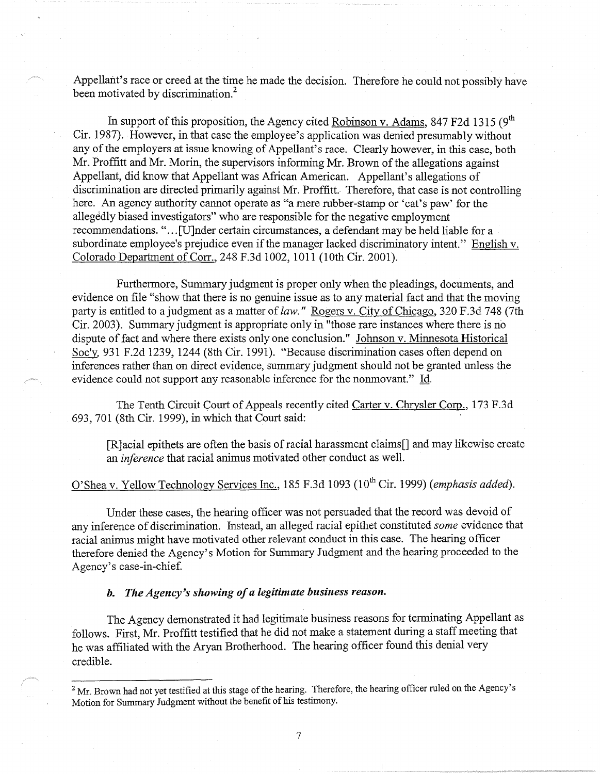Appellant's race or creed at the time he made the decision. Therefore he could not possibly have been motivated by discrimination.<sup>2</sup>

In support of this proposition, the Agency cited Robinson v. Adams, 847 F2d 1315 ( $9<sup>th</sup>$ Cir. 1987). However, in that case the employee's application was denied presumably without any of the employers at issue knowing of Appellant's race. Clearly however, in this case, both Mr. Proffitt and Mr. Morin, the supervisors informing Mr. Brown of the allegations against Appellant, did know that Appellant was African American. Appellant's allegations of discrimination are directed primarily against Mr. Proffitt.. Therefore, that case is not controlling here. An agency authority cannot operate as "a mere rubber-stamp or 'cat's paw' for the allegedly biased investigators" who are responsible for the negative employment recommendations. "... [U]nder certain circumstances, a defendant may be held liable for a subordinate employee's prejudice even if the manager lacked discriminatory intent." English v. Colorado Department of Corr., 248 F.3d 1002, 1011 (10th Cir. 2001).

Furthermore, Summary judgment is proper only when the pleadings, documents, and evidence on file "show that there is no genuine issue as to any material fact and that the moving party is entitled to a judgment as a matter of *law.*" Rogers v. City of Chicago, 320 F.3d 748 (7th Cir. 2003). Summary judgment is appropriate only in "those rare instances where there is no dispute of fact and where there exists only one conclusion." Johnson v. Minnesota Historical Soc'y, 931 F.2d 1239, 1244 (8th Cir. 1991). "Because discrimination cases often depend on inferences rather than on direct evidence, summary judgment should not be granted unless the evidence could not support any reasonable inference for the nonmovant." Id.

The Tenth Circuit Court of Appeals recently cited Carter v. Chrysler Corp., 173 F.3d 693, 701 (8th Cir. 1999), in which that Court said:

[R]acial epithets are often the basis of racial harassment claims[] and may likewise create an *inference* that racial animus motivated other conduct as well.

# O'Shea v. Yellow Technology Services Inc., 185 F.3d 1093 (10th Cir. 1999) *(emphasis added).*

Under these cases, the hearing officer was not persuaded that the record was devoid of any inference of discrimination. Instead, an alleged racial epithet constituted *some* evidence that racial animus might have motivated other relevant conduct in this case. The hearing officer therefore denied the Agency's Motion for Summary Judgment and the hearing proceeded to the Agency's case-in-chief.

# *b. The Agency's showing of a legitimate business reason.*

The Agency demonstrated it had legitimate business reasons for terminating Appellant as follows. First, Mr. Proffitt testified that he did not make a statement during a staff meeting that he was affiliated with the Aryan Brotherhood. The hearing officer found this denial very credible.

<sup>&</sup>lt;sup>2</sup> Mr. Brown had not yet testified at this stage of the hearing. Therefore, the hearing officer ruled on the Agency's Motion for Summary Judgment without the benefit of his testimony.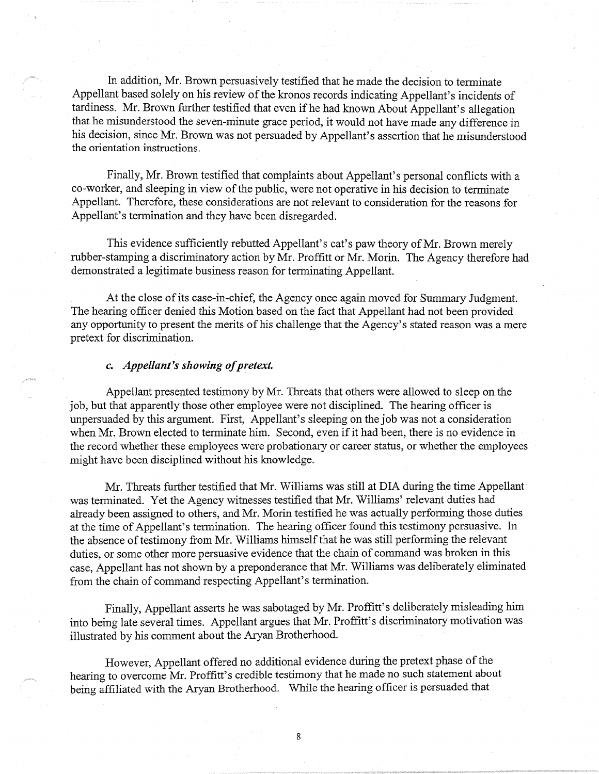In addition, Mr. Brown persuasively testified that he made the decision to terminate Appellant based solely on his review of the kronos records indicating Appellant's incidents of tardiness. Mr. Brown further testified that even if he had known About Appellant's allegation that he misunderstood the seven-minute grace period, it would not have made any difference in his decision, since Mr. Brown was not persuaded by Appellant's assertion that he misunderstood the orientation instructions.

Finally, Mr. Brown testified that complaints about Appellant's personal conflicts with a co-worker, and sleeping in view of the public, were not operative in his decision to terminate Appellant. Therefore, these considerations are not relevant to consideration for the reasons for Appellant's termination and they have been disregarded.

This evidence sufficiently rebutted Appellant's cat's paw theory of Mr. Brown merely rubber-stamping a discriminatory action by Mr. Proffitt or Mr. Morin. The Agency therefore had demonstrated a legitimate business reason for terminating Appellant.

At the close of its case-in-chief, the Agency once again moved for Summary Judgment. The hearing officer denied this Motion based on the fact that Appellant had not been provided any opportunity to present the merits of his challenge that the Agency's stated reason was a mere pretext for discrimination.

#### *c. Appellant's showing of pretext.*

Appellant presented testimony by Mr. Threats that others were allowed to sleep on the job, but that apparently those other employee were not disciplined. The hearing officer is unpersuaded by this argument. First, Appellant's sleeping on the job was not a consideration when Mr. Brown elected to terminate him. Second, even if it had been, there is no evidence in the record whether these employees were probationary or career status, or whether the employees might have been disciplined without his knowledge.

Mr. Threats further testified that Mr. Williams was still at DIA during the time Appellant was terminated. Yet the Agency witnesses testified that Mr. Williams' relevant duties had already been assigned to others, and Mr. Morin testified he was actually performing those duties at the time of Appellant's termination. The hearing officer found this testimony persuasive. In the absence of testimony from Mr. Williams himself that he was still performing the relevant duties, or some other more persuasive evidence that the chain of command was broken in this case, Appellant has not shown by a preponderance that Mr. Williams was deliberately eliminated from the chain of command respecting Appellant's termination.

Finally, Appellant asserts he was sabotaged by Mr. Proffitt's deliberately misleading him into being late several times. Appellant argues that Mr. Proffitt's discriminatory motivation was illustrated by his comment about the Aryan Brotherhood.

However, Appellant offered no additional evidence during the pretext phase of the hearing to overcome Mr. Proffitt's credible testimony that he made no such statement about being affiliated with the Aryan Brotherhood. While the hearing officer is persuaded that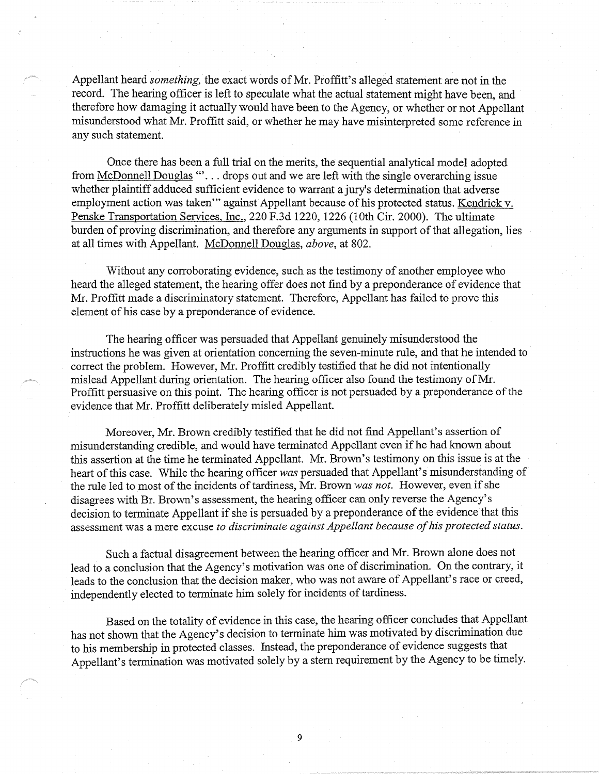Appellant heard *something,* the exact words of Mr. Proffitt's alleged statement are not in the record. The hearing officer is left to speculate what the actual statement might have been, and therefore how damaging it actually would have been to the Agency, or whether or not Appellant misunderstood what Mr. Proffitt said, or whether he may have misinterpreted some reference in any such statement.

Once there has been a full trial on the merits, the sequential analytical model adopted from McDonnell Douglas "... drops out and we are left with the single overarching issue whether plaintiff adduced sufficient evidence to warrant a jury's determination that adverse employment action was taken"' against Appellant because of his protected status. Kendrick v. Penske Transportation Services, Inc., 220 F.3d 1220, 1226 (10th Cir. 2000). The ultimate burden of proving discrimination, and therefore any arguments in support of that allegation, lies at all times with Appellant. McDonnell Douglas, *above,* at 802.

Without any corroborating evidence, such as the testimony of another employee who heard the alleged statement, the hearing offer does not find by a preponderance of evidence that Mr. Proffitt made a discriminatory statement. Therefore, Appellant has failed to prove this element of his case by a preponderance of evidence.

The hearing officer was persuaded that Appellant genuinely misunderstood the instructions he was given at orientation concerning the seven-minute rule, and that he intended to correct the problem. However, Mr. Proffitt credibly testified that he did not intentionally mislead Appellant during orientation. The hearing officer also found the testimony of Mr. Proffitt persuasive on this point. The hearing officer is not persuaded by a preponderance of the evidence that Mr. Proffitt deliberately misled Appellant.

Moreover, Mr. Brown credibly testified that he did not find Appellant's assertion of misunderstanding credible, and would have terminated Appellant even ifhe had known about this assertion at the time he terminated Appellant. Mr. Brown's testimony on this issue is at the heart of this case. While the hearing officer *was* persuaded that Appellant's misunderstanding of the rule led to most of the incidents of tardiness, Mr. Brown *was not.* However, even if she disagrees with Br. Brown's assessment, the hearing officer can only reverse the Agency's decision to terminate Appellant if she is persuaded by a preponderance of the evidence that this assessment was a mere excuse *to discriminate against Appellant because of his protected status.* 

Such a factual disagreement between the hearing officer and Mr. Brown alone does not lead to a conclusion that the Agency's motivation was one of discrimination. On the contrary, it leads to the conclusion that the decision maker, who was not aware of Appellant's race or creed, independently elected to terminate him solely for incidents of tardiness.

Based on the totality of evidence in this case, the hearing officer concludes that Appellant has not shown that the Agency's decision to terminate him was motivated by discrimination due to his membership in protected classes. Instead, the preponderance of evidence suggests that Appellant's termination was motivated solely by a stern requirement by the Agency to be timely.